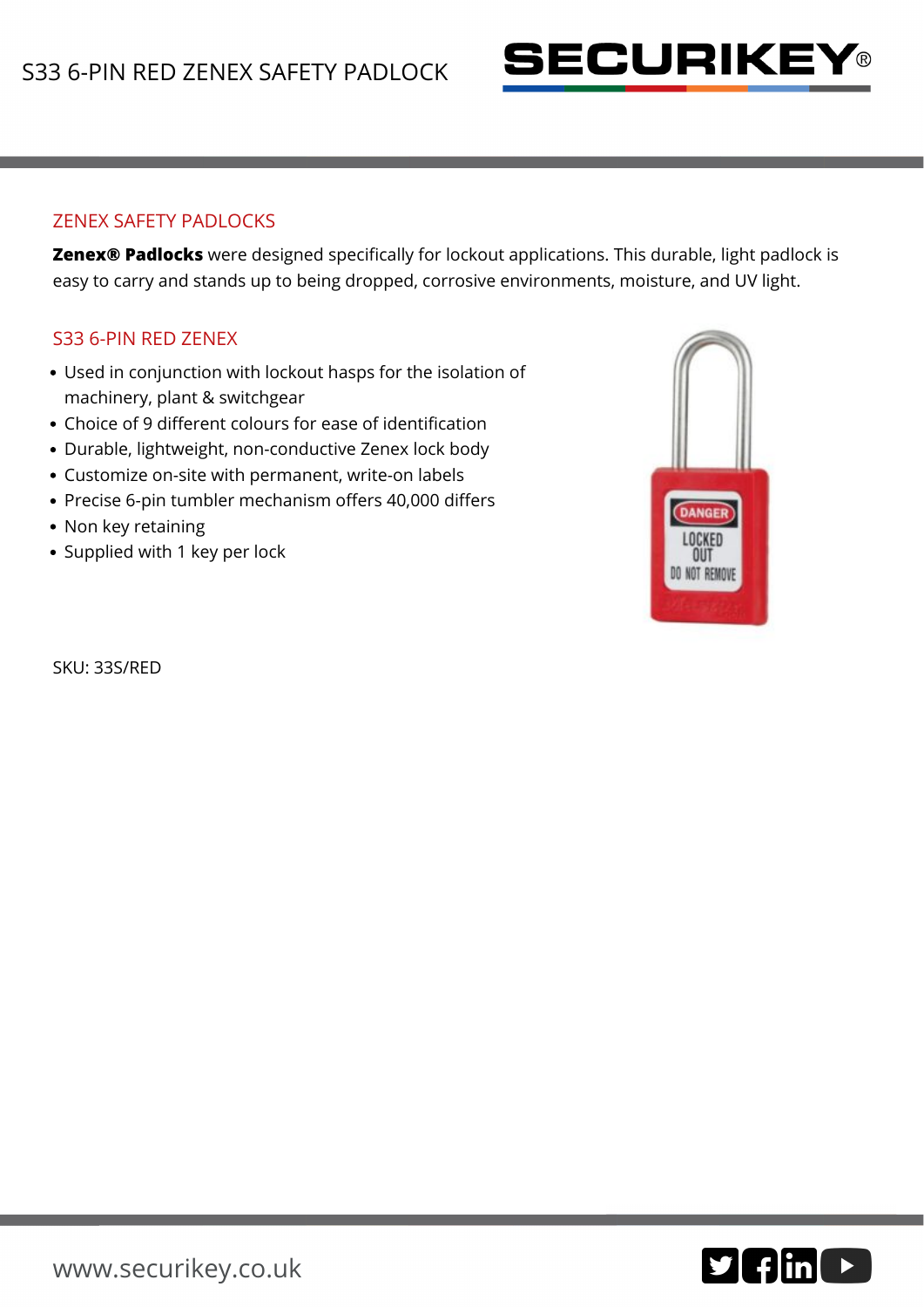

## ZENEX SAFETY PADLOCKS

**Zenex® Padlocks** were designed specifically for lockout applications. This durable, light padlock is easy to carry and stands up to being dropped, corrosive environments, moisture, and UV light.

## S33 6-PIN RED ZENEX

- Used in conjunction with lockout hasps for the isolation of machinery, plant & switchgear
- Choice of 9 different colours for ease of identification
- Durable, lightweight, non-conductive Zenex lock body
- Customize on-site with permanent, write-on labels
- Precise 6-pin tumbler mechanism offers 40,000 differs
- Non key retaining
- Supplied with 1 key per lock

**DANGER** OUT DO NOT REMOVE

SKU: 33S/RED

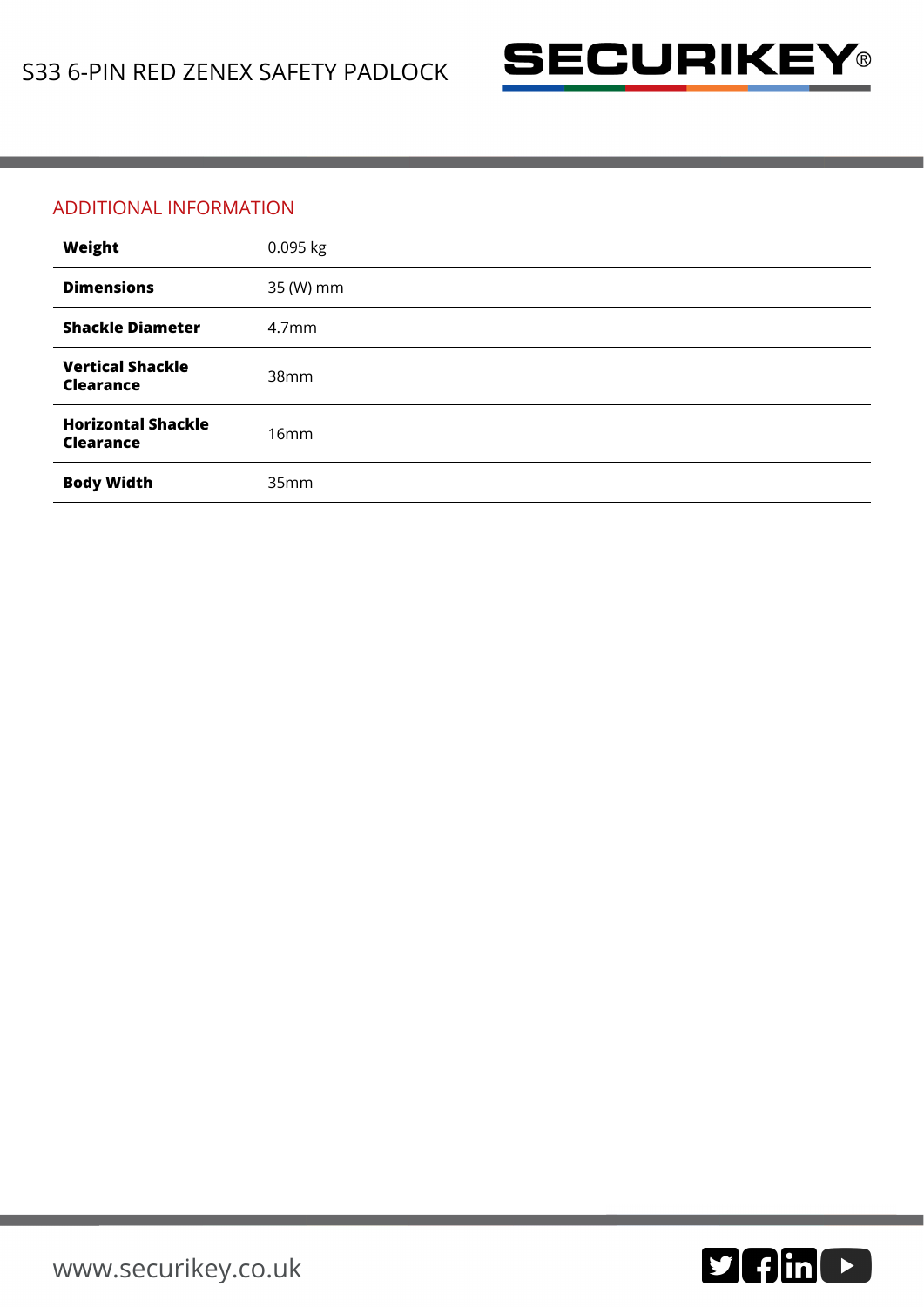

## ADDITIONAL INFORMATION

| Weight                                        | 0.095 kg          |
|-----------------------------------------------|-------------------|
| <b>Dimensions</b>                             | 35 (W) mm         |
| <b>Shackle Diameter</b>                       | 4.7 <sub>mm</sub> |
| <b>Vertical Shackle</b><br><b>Clearance</b>   | 38mm              |
| <b>Horizontal Shackle</b><br><b>Clearance</b> | 16mm              |
| <b>Body Width</b>                             | 35mm              |

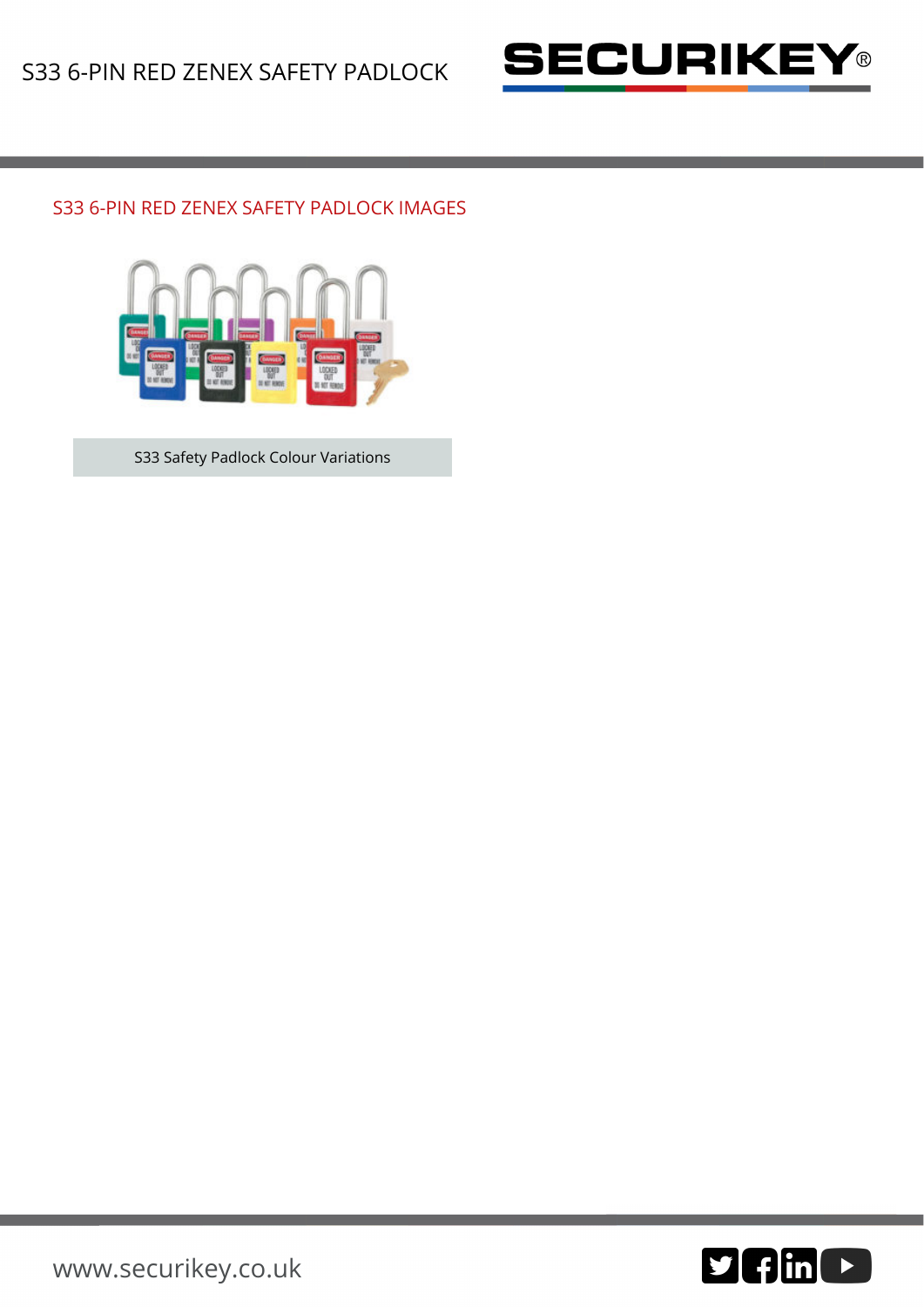

## S33 6-PIN RED ZENEX SAFETY PADLOCK IMAGES



S33 Safety Padlock Colour Variations